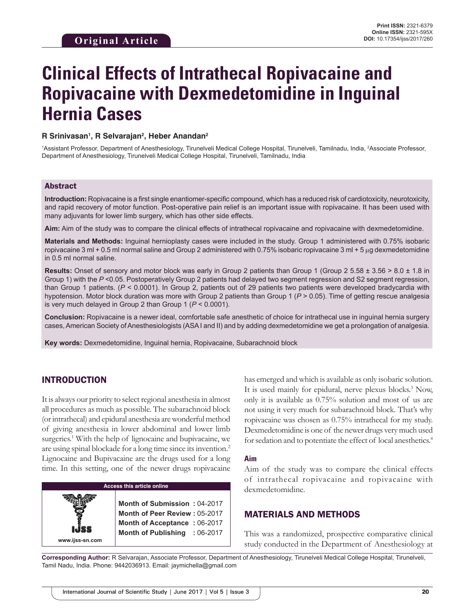# **Clinical Effects of Intrathecal Ropivacaine and Ropivacaine with Dexmedetomidine in Inguinal Hernia Cases**

#### **R Srinivasan1 , R Selvarajan2 , Heber Anandan2**

<sup>1</sup>Assistant Professor, Department of Anesthesiology, Tirunelveli Medical College Hospital, Tirunelveli, Tamilnadu, India, <sup>2</sup>Associate Professor, Department of Anesthesiology, Tirunelveli Medical College Hospital, Tirunelveli, Tamilnadu, India

#### Abstract

**Introduction:** Ropivacaine is a first single enantiomer-specific compound, which has a reduced risk of cardiotoxicity, neurotoxicity, and rapid recovery of motor function. Post-operative pain relief is an important issue with ropivacaine. It has been used with many adjuvants for lower limb surgery, which has other side effects.

**Aim:** Aim of the study was to compare the clinical effects of intrathecal ropivacaine and ropivacaine with dexmedetomidine.

**Materials and Methods:** Inguinal hernioplasty cases were included in the study. Group 1 administered with 0.75% isobaric ropivacaine 3 ml + 0.5 ml normal saline and Group 2 administered with 0.75% isobaric ropivacaine 3 ml + 5  $\mu$ g dexmedetomidine in 0.5 ml normal saline.

**Results:** Onset of sensory and motor block was early in Group 2 patients than Group 1 (Group 2 5.58 ± 3.56 > 8.0 ± 1.8 in Group 1) with the  $P < 0.05$ . Postoperatively Group 2 patients had delayed two segment regression and S2 segment regression, than Group 1 patients. (*P* < 0.0001). In Group 2, patients out of 29 patients two patients were developed bradycardia with hypotension. Motor block duration was more with Group 2 patients than Group 1 (*P* > 0.05). Time of getting rescue analgesia is very much delayed in Group 2 than Group 1 (*P* < 0.0001).

**Conclusion:** Ropivacaine is a newer ideal, comfortable safe anesthetic of choice for intrathecal use in inguinal hernia surgery cases, American Society of Anesthesiologists (ASA I and II) and by adding dexmedetomidine we get a prolongation of analgesia.

**Key words:** Dexmedetomidine, Inguinal hernia, Ropivacaine, Subarachnoid block

# INTRODUCTION

It is always our priority to select regional anesthesia in almost all procedures as much as possible. The subarachnoid block (or intrathecal) and epidural anesthesia are wonderful method of giving anesthesia in lower abdominal and lower limb surgeries.<sup>1</sup> With the help of lignocaine and bupivacaine, we are using spinal blockade for a long time since its invention.2 Lignocaine and Bupivacaine are the drugs used for a long time. In this setting, one of the newer drugs ropivacaine

## **Access this article online**

**Month of Submission :** 04-2017 **Month of Peer Review :** 05-2017 **Month of Acceptance :** 06-2017 **Month of Publishing :** 06-2017

**www.ijss-sn.com**

has emerged and which is available as only isobaric solution. It is used mainly for epidural, nerve plexus blocks.<sup>3</sup> Now, only it is available as 0.75% solution and most of us are not using it very much for subarachnoid block. That's why ropivacaine was chosen as 0.75% intrathecal for my study. Dexmedetomidine is one of the newer drugs very much used for sedation and to potentiate the effect of local anesthetics.<sup>4</sup>

#### **Aim**

Aim of the study was to compare the clinical effects of intrathecal ropivacaine and ropivacaine with dexmedetomidine.

## MATERIALS AND METHODS

This was a randomized, prospective comparative clinical study conducted in the Department of Anesthesiology at

**Corresponding Author:** R Selvarajan, Associate Professor, Department of Anesthesiology, Tirunelveli Medical College Hospital, Tirunelveli, Tamil Nadu, India. Phone: 9442036913. Email: jaymichella@gmail.com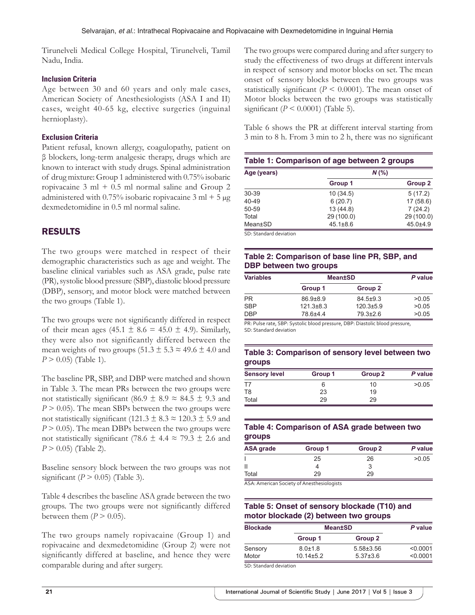Tirunelveli Medical College Hospital, Tirunelveli, Tamil Nadu, India.

## **Inclusion Criteria**

Age between 30 and 60 years and only male cases, American Society of Anesthesiologists (ASA I and II) cases, weight 40-65 kg, elective surgeries (inguinal hernioplasty).

## **Exclusion Criteria**

Patient refusal, known allergy, coagulopathy, patient on β blockers, long-term analgesic therapy, drugs which are known to interact with study drugs. Spinal administration of drug mixture: Group 1 administered with 0.75% isobaric ropivacaine  $3 \text{ ml} + 0.5 \text{ ml}$  normal saline and Group 2 administered with 0.75% isobaric ropivacaine  $3 \text{ ml} + 5 \mu$ g dexmedetomidine in 0.5 ml normal saline.

# RESULTS

The two groups were matched in respect of their demographic characteristics such as age and weight. The baseline clinical variables such as ASA grade, pulse rate (PR), systolic blood pressure (SBP), diastolic blood pressure (DBP), sensory, and motor block were matched between the two groups (Table 1).

The two groups were not significantly differed in respect of their mean ages (45.1  $\pm$  8.6 = 45.0  $\pm$  4.9). Similarly, they were also not significantly differed between the mean weights of two groups  $(51.3 \pm 5.3 \approx 49.6 \pm 4.0 \text{ and}$ *P* > 0.05) (Table 1).

The baseline PR, SBP, and DBP were matched and shown in Table 3. The mean PRs between the two groups were not statistically significant (86.9  $\pm$  8.9  $\approx$  84.5  $\pm$  9.3 and  $P > 0.05$ ). The mean SBPs between the two groups were not statistically significant (121.3  $\pm$  8.3  $\approx$  120.3  $\pm$  5.9 and  $P > 0.05$ ). The mean DBPs between the two groups were not statistically significant (78.6  $\pm$  4.4  $\approx$  79.3  $\pm$  2.6 and *P* > 0.05) (Table 2).

Baseline sensory block between the two groups was not significant ( $P > 0.05$ ) (Table 3).

Table 4 describes the baseline ASA grade between the two groups. The two groups were not significantly differed between them  $(P > 0.05)$ .

The two groups namely ropivacaine (Group 1) and ropivacaine and dexmedetomidine (Group 2) were not significantly differed at baseline, and hence they were comparable during and after surgery.

The two groups were compared during and after surgery to study the effectiveness of two drugs at different intervals in respect of sensory and motor blocks on set. The mean onset of sensory blocks between the two groups was statistically significant ( $P \leq 0.0001$ ). The mean onset of Motor blocks between the two groups was statistically significant  $(P < 0.0001)$  (Table 5).

Table 6 shows the PR at different interval starting from 3 min to 8 h. From 3 min to 2 h, there was no significant

| Table 1: Comparison of age between 2 groups |                |                    |  |
|---------------------------------------------|----------------|--------------------|--|
| Age (years)                                 |                | $N$ (%)            |  |
|                                             | Group 1        | Group <sub>2</sub> |  |
| 30-39                                       | 10(34.5)       | 5(17.2)            |  |
| 40-49                                       | 6(20.7)        | 17(58.6)           |  |
| 50-59                                       | 13(44.8)       | 7(24.2)            |  |
| Total                                       | 29 (100.0)     | 29 (100.0)         |  |
| Mean±SD                                     | $45.1 \pm 8.6$ | 45.0±4.9           |  |

SD: Standard deviation

# **Table 2: Comparison of base line PR, SBP, and DBP between two groups**

| <b>Variables</b> |                 | <b>Mean±SD</b>  |       |
|------------------|-----------------|-----------------|-------|
|                  | Group 1         | Group 2         |       |
| <b>PR</b>        | $86.9{\pm}8.9$  | $84.5 \pm 9.3$  | >0.05 |
| <b>SBP</b>       | $121.3 \pm 8.3$ | $120.3 \pm 5.9$ | >0.05 |
| <b>DBP</b>       | 78.6±4.4        | $79.3 \pm 2.6$  | >0.05 |

PR: Pulse rate, SBP: Systolic blood pressure, DBP: Diastolic blood pressure, SD: Standard deviation

## **Table 3: Comparison of sensory level between two groups**

| <b>Sensory level</b> | Group 1 | Group <sub>2</sub> | P value |
|----------------------|---------|--------------------|---------|
| T7                   |         | 10                 | >0.05   |
| T <sub>8</sub>       | 23      | 19                 |         |
| Total                | 29      | 29                 |         |

## **Table 4: Comparison of ASA grade between two groups**

| ASA grade | Group 1 | Group <sub>2</sub> | P value |
|-----------|---------|--------------------|---------|
|           | 25      | 26                 | >0.05   |
| Π         |         |                    |         |
| Total     | 29      | 29                 |         |
|           |         |                    |         |

ASA: American Society of Anesthesiologists

# **Table 5: Onset of sensory blockade (T10) and motor blockade (2) between two groups**

| <b>Blockade</b>              | <b>Mean±SD</b>  |                 | P value  |
|------------------------------|-----------------|-----------------|----------|
|                              | Group 1         | Group 2         |          |
| Sensory                      | $8.0 \pm 1.8$   | $5.58 \pm 3.56$ | < 0.0001 |
| Motor                        | $10.14 \pm 5.2$ | $5.37 \pm 3.6$  | < 0.0001 |
| $CD = CD = 1 + 1 + 1 + 1 + $ |                 |                 |          |

SD: Standard deviation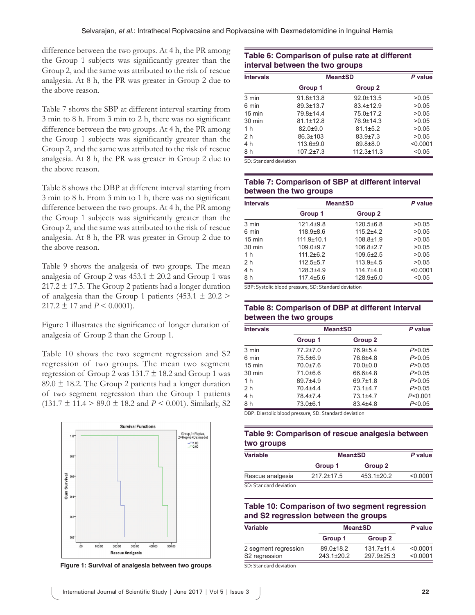difference between the two groups. At 4 h, the PR among the Group 1 subjects was significantly greater than the Group 2, and the same was attributed to the risk of rescue analgesia. At 8 h, the PR was greater in Group 2 due to the above reason.

Table 7 shows the SBP at different interval starting from 3 min to 8 h. From 3 min to 2 h, there was no significant difference between the two groups. At 4 h, the PR among the Group 1 subjects was significantly greater than the Group 2, and the same was attributed to the risk of rescue analgesia. At 8 h, the PR was greater in Group 2 due to the above reason.

Table 8 shows the DBP at different interval starting from 3 min to 8 h. From 3 min to 1 h, there was no significant difference between the two groups. At 4 h, the PR among the Group 1 subjects was significantly greater than the Group 2, and the same was attributed to the risk of rescue analgesia. At 8 h, the PR was greater in Group 2 due to the above reason.

Table 9 shows the analgesia of two groups. The mean analgesia of Group 2 was  $453.1 \pm 20.2$  and Group 1 was  $217.2 \pm 17.5$ . The Group 2 patients had a longer duration of analgesia than the Group 1 patients (453.1  $\pm$  20.2 >  $217.2 \pm 17$  and  $P \le 0.0001$ ).

Figure 1 illustrates the significance of longer duration of analgesia of Group 2 than the Group 1.

Table 10 shows the two segment regression and S2 regression of two groups. The mean two segment regression of Group 2 was  $131.7 \pm 18.2$  and Group 1 was 89.0  $\pm$  18.2. The Group 2 patients had a longer duration of two segment regression than the Group 1 patients  $(131.7 \pm 11.4 > 89.0 \pm 18.2 \text{ and } P < 0.001)$ . Similarly, S2



**Figure 1: Survival of analgesia between two groups**

#### **Table 6: Comparison of pulse rate at different interval between the two groups**

| <b>Intervals</b> | <b>Mean±SD</b>  |                  | P value  |
|------------------|-----------------|------------------|----------|
|                  | Group 1         | Group 2          |          |
| 3 min            | $91.8 \pm 13.8$ | $92.0 \pm 13.5$  | >0.05    |
| 6 min            | 89.3±13.7       | $83.4 \pm 12.9$  | >0.05    |
| $15 \text{ min}$ | 79.8±14.4       | 75.0±17.2        | >0.05    |
| $30 \text{ min}$ | $81.1 \pm 12.8$ | 76.9±14.3        | >0.05    |
| 1 <sub>h</sub>   | $82.0 + 9.0$    | $81.1 \pm 5.2$   | >0.05    |
| 2 <sub>h</sub>   | 86.3±103        | $83.9{\pm}7.3$   | >0.05    |
| 4 h              | 113.6±9.0       | 89.8±8.0         | < 0.0001 |
| 8 h              | $107.2 \pm 7.3$ | $112.3 \pm 11.3$ | < 0.05   |

SD: Standard deviation

#### **Table 7: Comparison of SBP at different interval between the two groups**

| <b>Intervals</b> | <b>Mean±SD</b>   |                 | P value  |
|------------------|------------------|-----------------|----------|
|                  | Group 1          | Group 2         |          |
| 3 min            | $121.4 + 9.8$    | $120.5 \pm 6.8$ | >0.05    |
| 6 min            | $118.9\pm8.6$    | $115.2 + 4.2$   | >0.05    |
| $15 \text{ min}$ | $111.9 \pm 10.1$ | $108.8 \pm 1.9$ | >0.05    |
| $30 \text{ min}$ | $109.0 + 9.7$    | $106.8 \pm 2.7$ | >0.05    |
| 1 <sub>h</sub>   | $111.2 \pm 6.2$  | $109.5 \pm 2.5$ | >0.05    |
| 2 <sub>h</sub>   | $112.5 \pm 5.7$  | $113.9 + 4.5$   | >0.05    |
| 4 h              | $128.3 + 4.9$    | $114.7\pm4.0$   | < 0.0001 |
| 8 h              | $117.4 \pm 5.6$  | 128.9±5.0       | < 0.05   |

SBP: Systolic blood pressure, SD: Standard deviation

### **Table 8: Comparison of DBP at different interval between the two groups**

| <b>Intervals</b> |                | <b>Mean±SD</b> | P value   |
|------------------|----------------|----------------|-----------|
|                  | Group 1        | Group 2        |           |
| 3 min            | $77.2 \pm 7.0$ | 76.9±5.4       | P > 0.05  |
| 6 min            | 75.5±6.9       | 76.6±4.8       | P > 0.05  |
| $15 \text{ min}$ | $70.0 \pm 7.6$ | $70.0 + 0.0$   | P > 0.05  |
| $30 \text{ min}$ | $71.0\pm 6.6$  | $66.6{\pm}4.8$ | P > 0.05  |
| 1 <sub>h</sub>   | 69.7±4.9       | 69.7±1.8       | P > 0.05  |
| 2 <sub>h</sub>   | 70.4±4.4       | 73.1±4.7       | P > 0.05  |
| 4 h              | 78.4±7.4       | $73.1 + 4.7$   | P < 0.001 |
| 8 h              | 73.0±6.1       | 83.4±4.8       | P<0.05    |

DBP: Diastolic blood pressure, SD: Standard deviation

#### **Table 9: Comparison of rescue analgesia between two groups**

| <b>Variable</b>        | <b>Mean±SD</b>   |            | P value  |
|------------------------|------------------|------------|----------|
|                        | Group 1          | Group 2    |          |
| Rescue analgesia       | $217.2 \pm 17.5$ | 453.1±20.2 | < 0.0001 |
| SD: Standard deviation |                  |            |          |

#### **Table 10: Comparison of two segment regression and S2 regression between the groups**

| <b>Variable</b>       | <b>Mean±SD</b>   |                  | P value  |
|-----------------------|------------------|------------------|----------|
|                       | Group 1          | Group 2          |          |
| 2 segment regression  | $89.0 \pm 18.2$  | $131.7 \pm 11.4$ | < 0.0001 |
| S2 regression         | $243.1 \pm 20.2$ | 297.9±25.3       | < 0.0001 |
| CD Ctandard deviation |                  |                  |          |

lard deviat